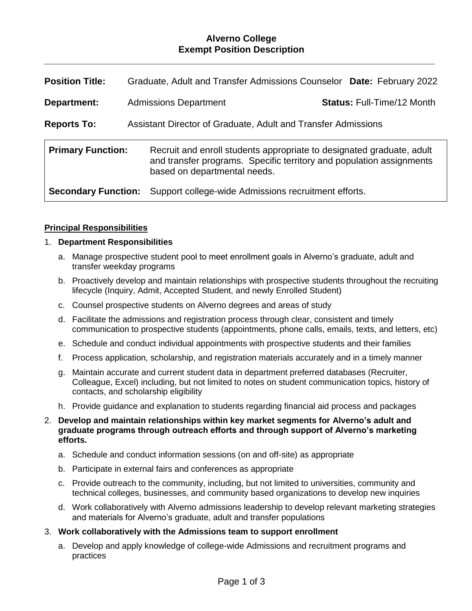## **Alverno College Exempt Position Description**

**\_\_\_\_\_\_\_\_\_\_\_\_\_\_\_\_\_\_\_\_\_\_\_\_\_\_\_\_\_\_\_\_\_\_\_\_\_\_\_\_\_\_\_\_\_\_\_\_\_\_\_\_\_\_\_\_\_\_\_\_\_\_\_\_\_\_\_\_\_\_\_\_\_\_\_\_**

| <b>Position Title:</b>                                                              | Graduate, Adult and Transfer Admissions Counselor Date: February 2022                                                                                                         |                                   |
|-------------------------------------------------------------------------------------|-------------------------------------------------------------------------------------------------------------------------------------------------------------------------------|-----------------------------------|
| Department:                                                                         | <b>Admissions Department</b>                                                                                                                                                  | <b>Status: Full-Time/12 Month</b> |
| Assistant Director of Graduate, Adult and Transfer Admissions<br><b>Reports To:</b> |                                                                                                                                                                               |                                   |
| <b>Primary Function:</b>                                                            | Recruit and enroll students appropriate to designated graduate, adult<br>and transfer programs. Specific territory and population assignments<br>based on departmental needs. |                                   |
| <b>Secondary Function:</b>                                                          | Support college-wide Admissions recruitment efforts.                                                                                                                          |                                   |

### **Principal Responsibilities**

### 1. **Department Responsibilities**

- a. Manage prospective student pool to meet enrollment goals in Alverno's graduate, adult and transfer weekday programs
- b. Proactively develop and maintain relationships with prospective students throughout the recruiting lifecycle (Inquiry, Admit, Accepted Student, and newly Enrolled Student)
- c. Counsel prospective students on Alverno degrees and areas of study
- d. Facilitate the admissions and registration process through clear, consistent and timely communication to prospective students (appointments, phone calls, emails, texts, and letters, etc)
- e. Schedule and conduct individual appointments with prospective students and their families
- f. Process application, scholarship, and registration materials accurately and in a timely manner
- g. Maintain accurate and current student data in department preferred databases (Recruiter, Colleague, Excel) including, but not limited to notes on student communication topics, history of contacts, and scholarship eligibility
- h. Provide guidance and explanation to students regarding financial aid process and packages
- 2. **Develop and maintain relationships within key market segments for Alverno's adult and graduate programs through outreach efforts and through support of Alverno's marketing efforts.**
	- a. Schedule and conduct information sessions (on and off-site) as appropriate
	- b. Participate in external fairs and conferences as appropriate
	- c. Provide outreach to the community, including, but not limited to universities, community and technical colleges, businesses, and community based organizations to develop new inquiries
	- d. Work collaboratively with Alverno admissions leadership to develop relevant marketing strategies and materials for Alverno's graduate, adult and transfer populations

#### 3. **Work collaboratively with the Admissions team to support enrollment**

a. Develop and apply knowledge of college-wide Admissions and recruitment programs and practices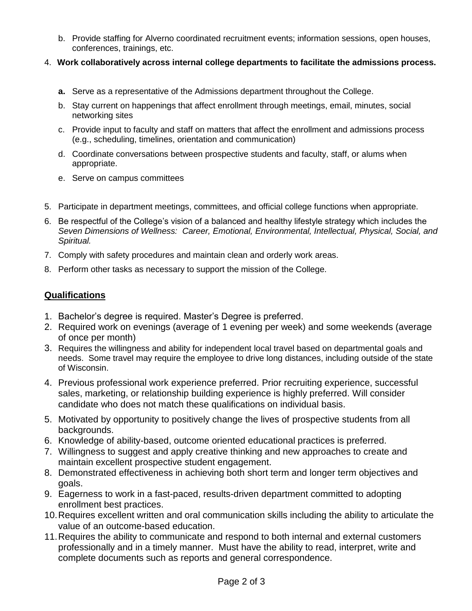- b. Provide staffing for Alverno coordinated recruitment events; information sessions, open houses, conferences, trainings, etc.
- 4. **Work collaboratively across internal college departments to facilitate the admissions process.**
	- **a.** Serve as a representative of the Admissions department throughout the College.
	- b. Stay current on happenings that affect enrollment through meetings, email, minutes, social networking sites
	- c. Provide input to faculty and staff on matters that affect the enrollment and admissions process (e.g., scheduling, timelines, orientation and communication)
	- d. Coordinate conversations between prospective students and faculty, staff, or alums when appropriate.
	- e. Serve on campus committees
- 5. Participate in department meetings, committees, and official college functions when appropriate.
- 6. Be respectful of the College's vision of a balanced and healthy lifestyle strategy which includes the *Seven Dimensions of Wellness: Career, Emotional, Environmental, Intellectual, Physical, Social, and Spiritual.*
- 7. Comply with safety procedures and maintain clean and orderly work areas.
- 8. Perform other tasks as necessary to support the mission of the College.

# **Qualifications**

- 1. Bachelor's degree is required. Master's Degree is preferred.
- 2. Required work on evenings (average of 1 evening per week) and some weekends (average of once per month)
- 3. Requires the willingness and ability for independent local travel based on departmental goals and needs. Some travel may require the employee to drive long distances, including outside of the state of Wisconsin.
- 4. Previous professional work experience preferred. Prior recruiting experience, successful sales, marketing, or relationship building experience is highly preferred. Will consider candidate who does not match these qualifications on individual basis.
- 5. Motivated by opportunity to positively change the lives of prospective students from all backgrounds.
- 6. Knowledge of ability-based, outcome oriented educational practices is preferred.
- 7. Willingness to suggest and apply creative thinking and new approaches to create and maintain excellent prospective student engagement.
- 8. Demonstrated effectiveness in achieving both short term and longer term objectives and goals.
- 9. Eagerness to work in a fast-paced, results-driven department committed to adopting enrollment best practices.
- 10.Requires excellent written and oral communication skills including the ability to articulate the value of an outcome-based education.
- 11.Requires the ability to communicate and respond to both internal and external customers professionally and in a timely manner. Must have the ability to read, interpret, write and complete documents such as reports and general correspondence.